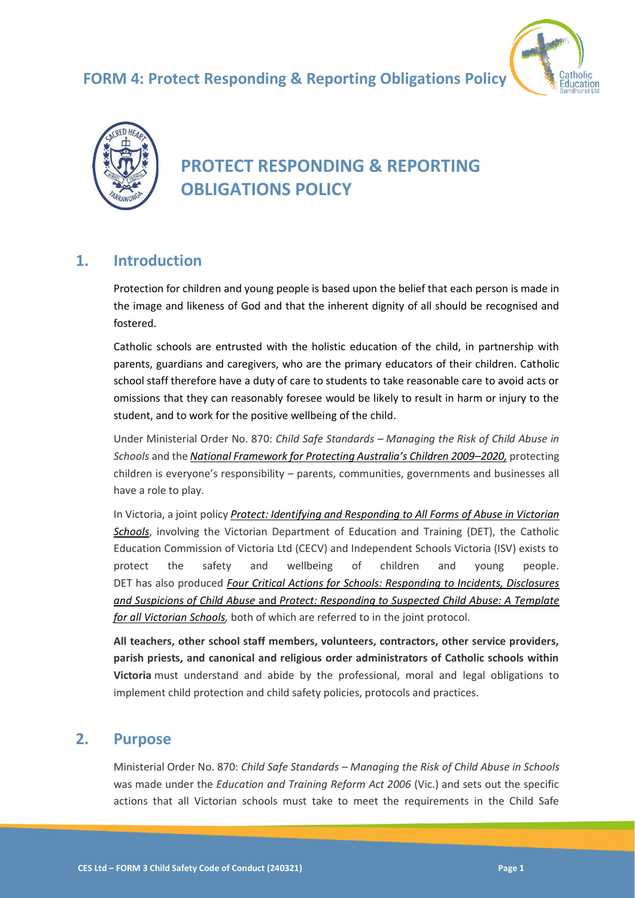# **FORM 4: Protect Responding & Reporting Obligations Policy**





# **PROTECT RESPONDING & REPORTING OBLIGATIONS POLICY**

# **1. Introduction**

Protection for children and young people is based upon the belief that each person is made in the image and likeness of God and that the inherent dignity of all should be recognised and fostered.

Catholic schools are entrusted with the holistic education of the child, in partnership with parents, guardians and caregivers, who are the primary educators of their children. Catholic school staff therefore have a duty of care to students to take reasonable care to avoid acts or omissions that they can reasonably foresee would be likely to result in harm or injury to the student, and to work for the positive wellbeing of the child.

Under Ministerial Order No. 870: *Child Safe Standards – Managing the Risk of Child Abuse in Schools* and the *[National Framework for Protecting Australia's Children 2009–](https://www.dss.gov.au/our-responsibilities/families-and-children/publications-articles/protecting-children-is-everyones-business)2020,* protecting children is everyone's responsibility – parents, communities, governments and businesses all have a role to play.

In Victoria, a joint policy *[Protect: Identifying and Responding to All Forms of Abuse in Victorian](http://www.education.vic.gov.au/Documents/about/programs/health/protect/ChildSafeStandard5_SchoolsGuide.pdf)  [Schools](http://www.education.vic.gov.au/Documents/about/programs/health/protect/ChildSafeStandard5_SchoolsGuide.pdf)*, involving the Victorian Department of Education and Training (DET), the Catholic Education Commission of Victoria Ltd (CECV) and Independent Schools Victoria (ISV) exists to protect the safety and wellbeing of children and young people. DET has also produced *[Four Critical Actions for Schools: Responding to Incidents, Disclosures](http://www.education.vic.gov.au/Documents/about/programs/health/protect/FourCriticalActions_ChildAbuse.pdf)  and [Suspicions of Child Abuse](http://www.education.vic.gov.au/Documents/about/programs/health/protect/FourCriticalActions_ChildAbuse.pdf)* and *[Protect: Responding to Suspected Child Abuse: A Template](http://www.education.vic.gov.au/Documents/about/programs/health/protect/PROTECT_Responding_TemplateSchools.pdf)  [for all Victorian Schools,](http://www.education.vic.gov.au/Documents/about/programs/health/protect/PROTECT_Responding_TemplateSchools.pdf)* both of which are referred to in the joint protocol.

**All teachers, other school staff members, volunteers, contractors, other service providers, parish priests, and canonical and religious order administrators of Catholic schools within Victoria** must understand and abide by the professional, moral and legal obligations to implement child protection and child safety policies, protocols and practices.

# **2. Purpose**

Ministerial Order No. 870: *Child Safe Standards – Managing the Risk of Child Abuse in Schools*  was made under the *Education and Training Reform Act 2006* (Vic.) and sets out the specific actions that all Victorian schools must take to meet the requirements in the Child Safe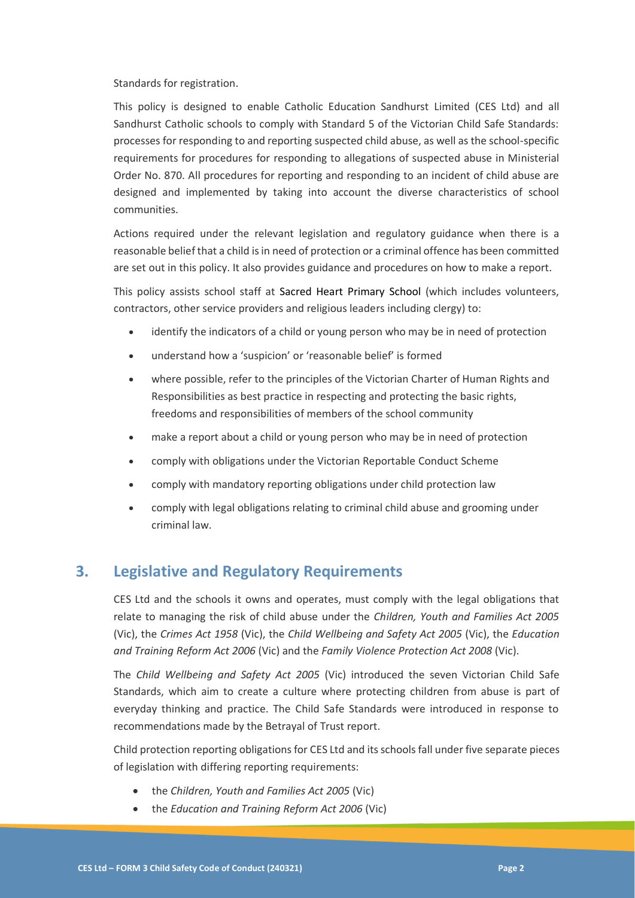Standards for registration.

This policy is designed to enable Catholic Education Sandhurst Limited (CES Ltd) and all Sandhurst Catholic schools to comply with Standard 5 of the Victorian Child Safe Standards: processes for responding to and reporting suspected child abuse, as well as the school-specific requirements for procedures for responding to allegations of suspected abuse in Ministerial Order No. 870. All procedures for reporting and responding to an incident of child abuse are designed and implemented by taking into account the diverse characteristics of school communities.

Actions required under the relevant legislation and regulatory guidance when there is a reasonable belief that a child is in need of protection or a criminal offence has been committed are set out in this policy. It also provides guidance and procedures on how to make a report.

This policy assists school staff at Sacred Heart Primary School (which includes volunteers, contractors, other service providers and religious leaders including clergy) to:

- identify the indicators of a child or young person who may be in need of protection
- understand how a 'suspicion' or 'reasonable belief' is formed
- where possible, refer to the principles of the Victorian Charter of Human Rights and Responsibilities as best practice in respecting and protecting the basic rights, freedoms and responsibilities of members of the school community
- make a report about a child or young person who may be in need of protection
- comply with obligations under the Victorian Reportable Conduct Scheme
- comply with mandatory reporting obligations under child protection law
- comply with legal obligations relating to criminal child abuse and grooming under criminal law.

# **3. Legislative and Regulatory Requirements**

CES Ltd and the schools it owns and operates, must comply with the legal obligations that relate to managing the risk of child abuse under the *Children, Youth and Families Act 2005* (Vic), the *Crimes Act 1958* (Vic), the *Child Wellbeing and Safety Act 2005* (Vic), the *Education and Training Reform Act 2006* (Vic) and the *Family Violence Protection Act 2008* (Vic).

The *Child Wellbeing and Safety Act 2005* (Vic) introduced the seven Victorian Child Safe Standards, which aim to create a culture where protecting children from abuse is part of everyday thinking and practice. The Child Safe Standards were introduced in response to recommendations made by the Betrayal of Trust report.

Child protection reporting obligations for CES Ltd and its schools fall under five separate pieces of legislation with differing reporting requirements:

- the *Children, Youth and Families Act 2005* (Vic)
- the *Education and Training Reform Act 2006* (Vic)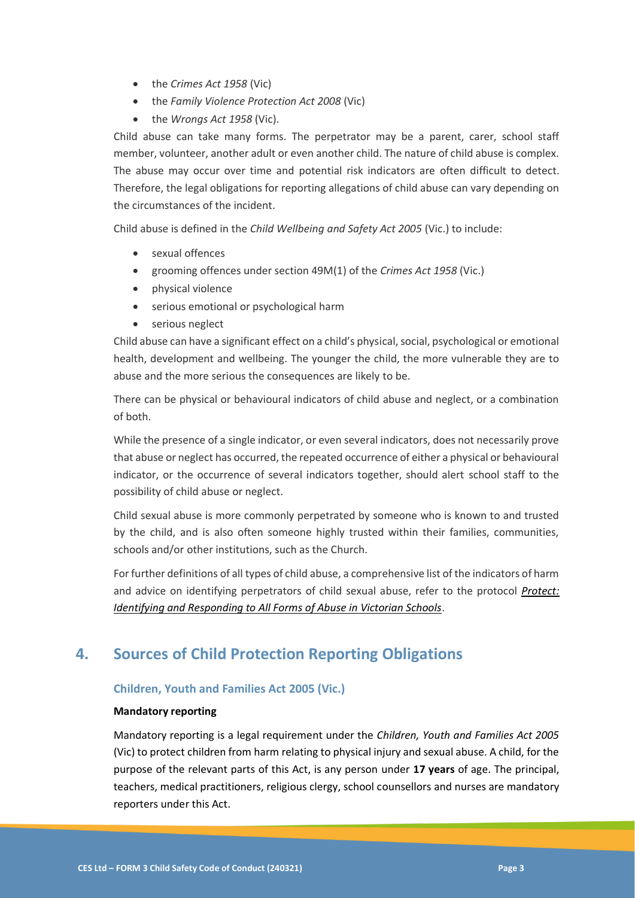- the *Crimes Act 1958* (Vic)
- the *Family Violence Protection Act 2008* (Vic)
- the *Wrongs Act 1958* (Vic).

Child abuse can take many forms. The perpetrator may be a parent, carer, school staff member, volunteer, another adult or even another child. The nature of child abuse is complex. The abuse may occur over time and potential risk indicators are often difficult to detect. Therefore, the legal obligations for reporting allegations of child abuse can vary depending on the circumstances of the incident.

Child abuse is defined in the *Child Wellbeing and Safety Act 2005* (Vic.) to include:

- sexual offences
- grooming offences under section 49M(1) of the *Crimes Act 1958* (Vic.)
- physical violence
- serious emotional or psychological harm
- serious neglect

Child abuse can have a significant effect on a child's physical, social, psychological or emotional health, development and wellbeing. The younger the child, the more vulnerable they are to abuse and the more serious the consequences are likely to be.

There can be physical or behavioural indicators of child abuse and neglect, or a combination of both.

While the presence of a single indicator, or even several indicators, does not necessarily prove that abuse or neglect has occurred, the repeated occurrence of either a physical or behavioural indicator, or the occurrence of several indicators together, should alert school staff to the possibility of child abuse or neglect.

Child sexual abuse is more commonly perpetrated by someone who is known to and trusted by the child, and is also often someone highly trusted within their families, communities, schools and/or other institutions, such as the Church.

For further definitions of all types of child abuse, a comprehensive list of the indicators of harm and advice on identifying perpetrators of child sexual abuse, refer to the protocol *[Protect:](https://www.education.vic.gov.au/Documents/about/programs/health/protect/ChildSafeStandard5_SchoolsGuide.pdf)  [Identifying and Responding to All Forms of Abuse in Victorian Schools](https://www.education.vic.gov.au/Documents/about/programs/health/protect/ChildSafeStandard5_SchoolsGuide.pdf)*.

# **4. Sources of Child Protection Reporting Obligations**

#### **Children, Youth and Families Act 2005 (Vic.)**

#### **Mandatory reporting**

Mandatory reporting is a legal requirement under the *Children, Youth and Families Act 2005* (Vic) to protect children from harm relating to physical injury and sexual abuse. A child, for the purpose of the relevant parts of this Act, is any person under **17 years** of age. The principal, teachers, medical practitioners, religious clergy, school counsellors and nurses are mandatory reporters under this Act.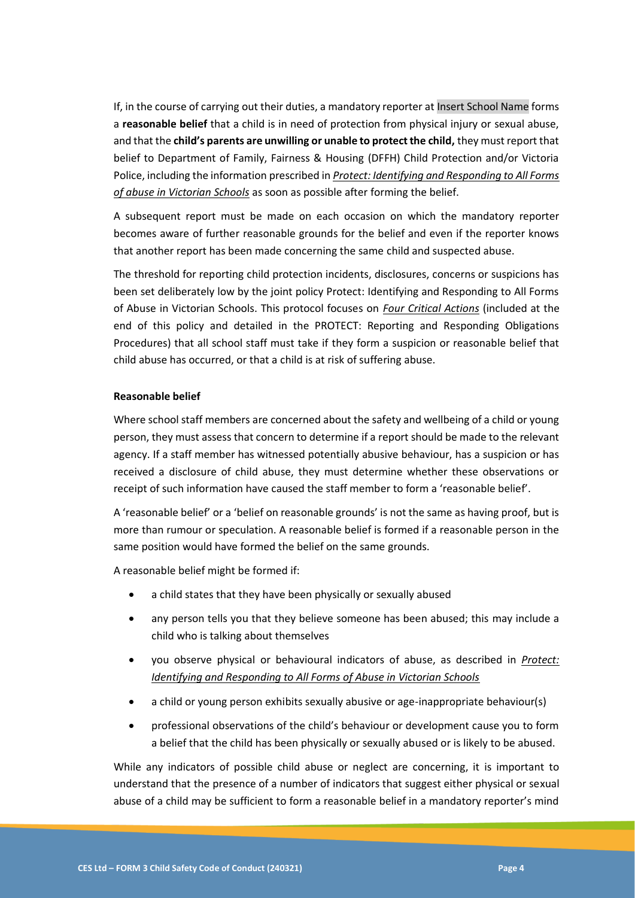If, in the course of carrying out their duties, a mandatory reporter at Insert School Name forms a **reasonable belief** that a child is in need of protection from physical injury or sexual abuse, and that the **child's parents are unwilling or unable to protect the child,** they must report that belief to Department of Family, Fairness & Housing (DFFH) Child Protection and/or Victoria Police, including the information prescribed in *[Protect: Identifying and Responding to All Forms](https://www.education.vic.gov.au/Documents/about/programs/health/protect/ChildSafeStandard5_SchoolsGuide.pdf)  [of abuse in Victorian Schools](https://www.education.vic.gov.au/Documents/about/programs/health/protect/ChildSafeStandard5_SchoolsGuide.pdf)* as soon as possible after forming the belief.

A subsequent report must be made on each occasion on which the mandatory reporter becomes aware of further reasonable grounds for the belief and even if the reporter knows that another report has been made concerning the same child and suspected abuse.

The threshold for reporting child protection incidents, disclosures, concerns or suspicions has been set deliberately low by the joint policy Protect: Identifying and Responding to All Forms of Abuse in Victorian Schools. This protocol focuses on *[Four Critical Actions](https://www.education.vic.gov.au/Documents/about/programs/health/protect/FourCriticalActions_ChildAbuse.pdf)* (included at the end of this policy and detailed in the PROTECT: Reporting and Responding Obligations Procedures) that all school staff must take if they form a suspicion or reasonable belief that child abuse has occurred, or that a child is at risk of suffering abuse.

#### **Reasonable belief**

Where school staff members are concerned about the safety and wellbeing of a child or young person, they must assess that concern to determine if a report should be made to the relevant agency. If a staff member has witnessed potentially abusive behaviour, has a suspicion or has received a disclosure of child abuse, they must determine whether these observations or receipt of such information have caused the staff member to form a 'reasonable belief'.

A 'reasonable belief' or a 'belief on reasonable grounds' is not the same as having proof, but is more than rumour or speculation. A reasonable belief is formed if a reasonable person in the same position would have formed the belief on the same grounds.

A reasonable belief might be formed if:

- a child states that they have been physically or sexually abused
- any person tells you that they believe someone has been abused; this may include a child who is talking about themselves
- you observe physical or behavioural indicators of abuse, as described in *[Protect:](https://www.education.vic.gov.au/Documents/about/programs/health/protect/ChildSafeStandard5_SchoolsGuide.pdf)  [Identifying and Responding to All Forms of Abuse in Victorian Schools](https://www.education.vic.gov.au/Documents/about/programs/health/protect/ChildSafeStandard5_SchoolsGuide.pdf)*
- a child or young person exhibits sexually abusive or age-inappropriate behaviour(s)
- professional observations of the child's behaviour or development cause you to form a belief that the child has been physically or sexually abused or is likely to be abused.

While any indicators of possible child abuse or neglect are concerning, it is important to understand that the presence of a number of indicators that suggest either physical or sexual abuse of a child may be sufficient to form a reasonable belief in a mandatory reporter's mind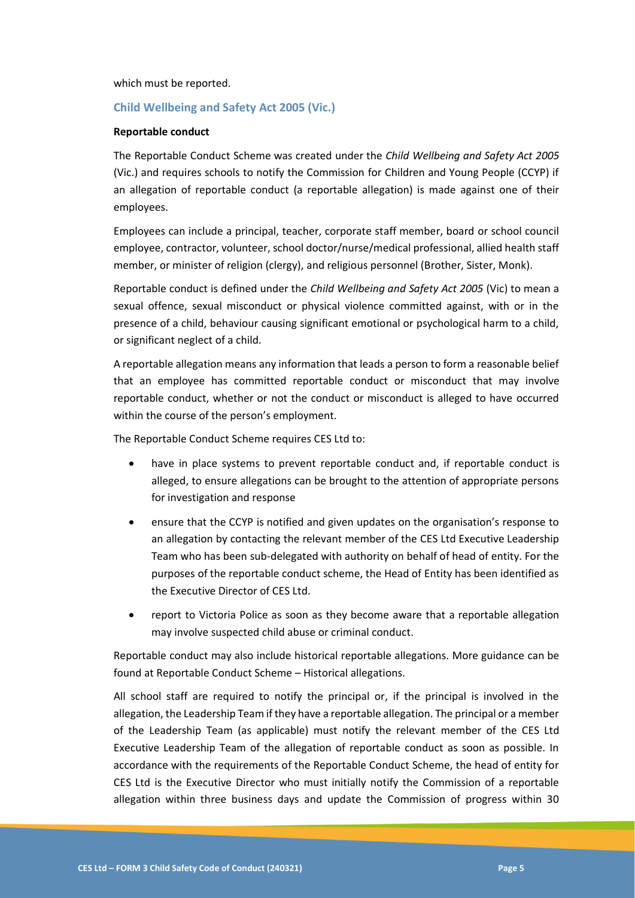which must be reported.

#### **Child Wellbeing and Safety Act 2005 (Vic.)**

#### **Reportable conduct**

The Reportable Conduct Scheme was created under the *Child Wellbeing and Safety Act 2005* (Vic.) and requires schools to notify the Commission for Children and Young People (CCYP) if an allegation of reportable conduct (a reportable allegation) is made against one of their employees.

Employees can include a principal, teacher, corporate staff member, board or school council employee, contractor, volunteer, school doctor/nurse/medical professional, allied health staff member, or minister of religion (clergy), and religious personnel (Brother, Sister, Monk).

Reportable conduct is defined under the *Child Wellbeing and Safety Act 2005* (Vic) to mean a sexual offence, sexual misconduct or physical violence committed against, with or in the presence of a child, behaviour causing significant emotional or psychological harm to a child, or significant neglect of a child.

A reportable allegation means any information that leads a person to form a reasonable belief that an employee has committed reportable conduct or misconduct that may involve reportable conduct, whether or not the conduct or misconduct is alleged to have occurred within the course of the person's employment.

The Reportable Conduct Scheme requires CES Ltd to:

- have in place systems to prevent reportable conduct and, if reportable conduct is alleged, to ensure allegations can be brought to the attention of appropriate persons for investigation and response
- ensure that the CCYP is notified and given updates on the organisation's response to an allegation by contacting the relevant member of the CES Ltd Executive Leadership Team who has been sub-delegated with authority on behalf of head of entity. For the purposes of the reportable conduct scheme, the Head of Entity has been identified as the Executive Director of CES Ltd.
- report to Victoria Police as soon as they become aware that a reportable allegation may involve suspected child abuse or criminal conduct.

Reportable conduct may also include historical reportable allegations. More guidance can be found at Reportable Conduct Scheme – Historical allegations.

All school staff are required to notify the principal or, if the principal is involved in the allegation, the Leadership Team if they have a reportable allegation. The principal or a member of the Leadership Team (as applicable) must notify the relevant member of the CES Ltd Executive Leadership Team of the allegation of reportable conduct as soon as possible. In accordance with the requirements of the Reportable Conduct Scheme, the head of entity for CES Ltd is the Executive Director who must initially notify the Commission of a reportable allegation within three business days and update the Commission of progress within 30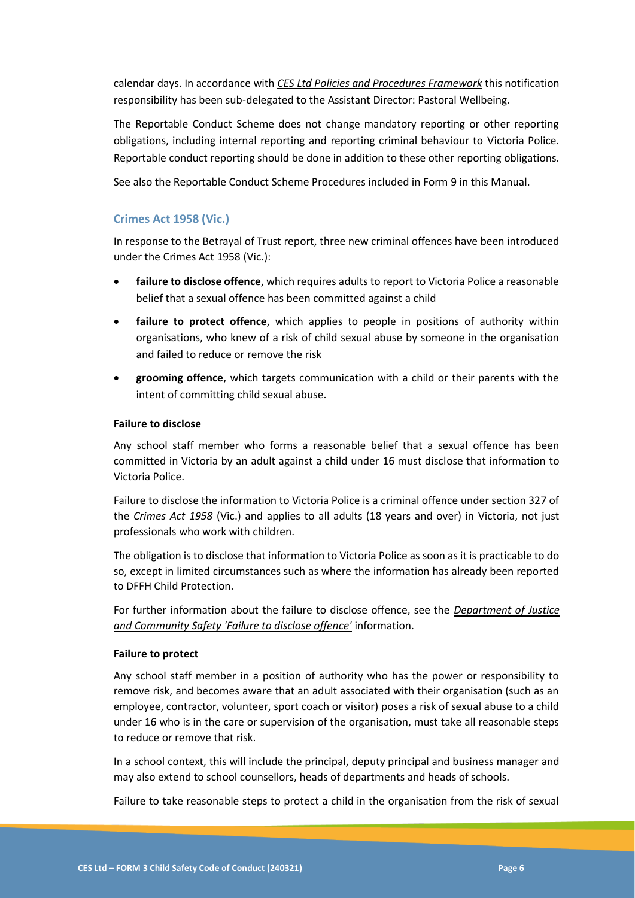calendar days. In accordance with *CES Ltd Policies and Procedures Framework* this notification responsibility has been sub-delegated to the Assistant Director: Pastoral Wellbeing.

The Reportable Conduct Scheme does not change mandatory reporting or other reporting obligations, including internal reporting and reporting criminal behaviour to Victoria Police. Reportable conduct reporting should be done in addition to these other reporting obligations.

See also the Reportable Conduct Scheme Procedures included in Form 9 in this Manual.

#### **Crimes Act 1958 (Vic.)**

In response to the Betrayal of Trust report, three new criminal offences have been introduced under the Crimes Act 1958 (Vic.):

- **failure to disclose offence**, which requires adults to report to Victoria Police a reasonable belief that a sexual offence has been committed against a child
- failure to protect offence, which applies to people in positions of authority within organisations, who knew of a risk of child sexual abuse by someone in the organisation and failed to reduce or remove the risk
- **grooming offence**, which targets communication with a child or their parents with the intent of committing child sexual abuse.

#### **Failure to disclose**

Any school staff member who forms a reasonable belief that a sexual offence has been committed in Victoria by an adult against a child under 16 must disclose that information to Victoria Police.

Failure to disclose the information to Victoria Police is a criminal offence under section 327 of the *Crimes Act 1958* (Vic.) and applies to all adults (18 years and over) in Victoria, not just professionals who work with children.

The obligation is to disclose that information to Victoria Police as soon as it is practicable to do so, except in limited circumstances such as where the information has already been reported to DFFH Child Protection.

For further information about the failure to disclose offence, see the *[Department of Justice](https://www.justice.vic.gov.au/safer-communities/protecting-children-and-families/failure-to-disclose-offence)  [and Community Safety 'Failure to disclose offence'](https://www.justice.vic.gov.au/safer-communities/protecting-children-and-families/failure-to-disclose-offence)* information.

#### **Failure to protect**

Any school staff member in a position of authority who has the power or responsibility to remove risk, and becomes aware that an adult associated with their organisation (such as an employee, contractor, volunteer, sport coach or visitor) poses a risk of sexual abuse to a child under 16 who is in the care or supervision of the organisation, must take all reasonable steps to reduce or remove that risk.

In a school context, this will include the principal, deputy principal and business manager and may also extend to school counsellors, heads of departments and heads of schools.

Failure to take reasonable steps to protect a child in the organisation from the risk of sexual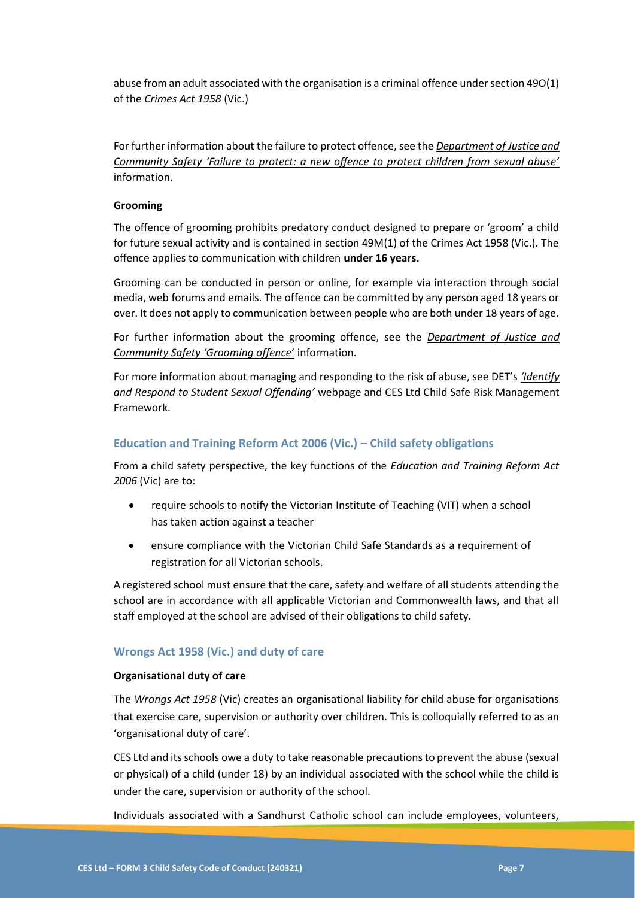abuse from an adult associated with the organisation is a criminal offence under section 49O(1) of the *Crimes Act 1958* (Vic.)

For further information about the failure to protect offence, see the *[Department of Justice and](https://www.justice.vic.gov.au/safer-communities/protecting-children-and-families/failure-to-protect-a-new-criminal-offence-to)  [Community Safety 'Failure to protect: a new offence to protect children from sexual abuse'](https://www.justice.vic.gov.au/safer-communities/protecting-children-and-families/failure-to-protect-a-new-criminal-offence-to)* information.

#### **Grooming**

The offence of grooming prohibits predatory conduct designed to prepare or 'groom' a child for future sexual activity and is contained in section 49M(1) of the Crimes Act 1958 (Vic.). The offence applies to communication with children **under 16 years.**

Grooming can be conducted in person or online, for example via interaction through social media, web forums and emails. The offence can be committed by any person aged 18 years or over. It does not apply to communication between people who are both under 18 years of age.

For further information about the grooming offence, see the *[Department of Justice and](https://www.justice.vic.gov.au/safer-communities/protecting-children-and-families/grooming-offence)  [Community Safety 'Grooming offence](https://www.justice.vic.gov.au/safer-communities/protecting-children-and-families/grooming-offence)*' information.

For more information about managing and responding to the risk of abuse, see DET's *['Identify](https://www.education.vic.gov.au/school/teachers/health/childprotection/Pages/stusexual.aspx)  [and Respond to Student Sexual Offending'](https://www.education.vic.gov.au/school/teachers/health/childprotection/Pages/stusexual.aspx)* webpage and CES Ltd Child Safe Risk Management Framework.

#### **Education and Training Reform Act 2006 (Vic.) – Child safety obligations**

From a child safety perspective, the key functions of the *Education and Training Reform Act 2006* (Vic) are to:

- require schools to notify the Victorian Institute of Teaching (VIT) when a school has taken action against a teacher
- ensure compliance with the Victorian Child Safe Standards as a requirement of registration for all Victorian schools.

A registered school must ensure that the care, safety and welfare of all students attending the school are in accordance with all applicable Victorian and Commonwealth laws, and that all staff employed at the school are advised of their obligations to child safety.

#### **Wrongs Act 1958 (Vic.) and duty of care**

#### **Organisational duty of care**

The *Wrongs Act 1958* (Vic) creates an organisational liability for child abuse for organisations that exercise care, supervision or authority over children. This is colloquially referred to as an 'organisational duty of care'.

CES Ltd and its schools owe a duty to take reasonable precautions to prevent the abuse (sexual or physical) of a child (under 18) by an individual associated with the school while the child is under the care, supervision or authority of the school.

Individuals associated with a Sandhurst Catholic school can include employees, volunteers,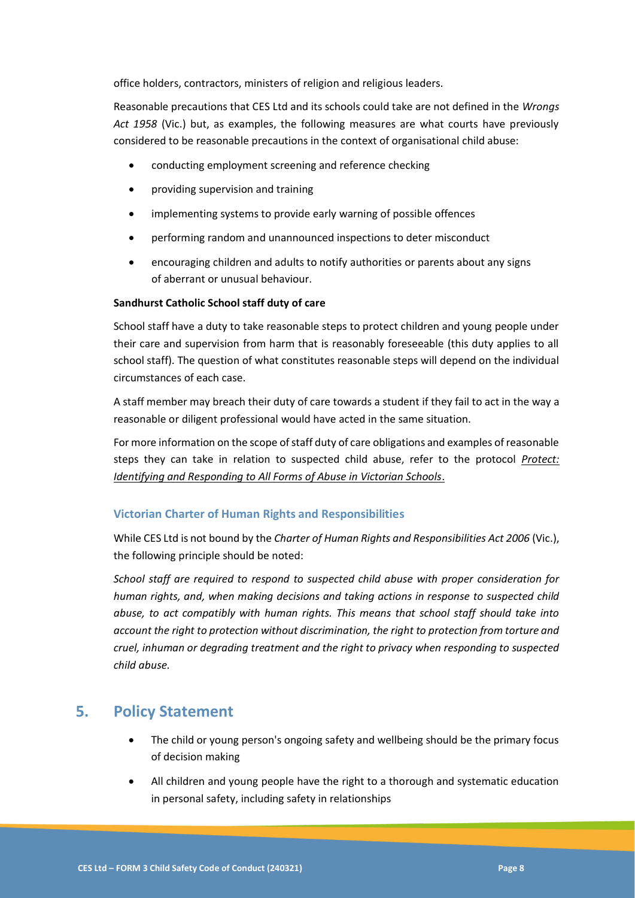office holders, contractors, ministers of religion and religious leaders.

Reasonable precautions that CES Ltd and its schools could take are not defined in the *Wrongs Act 1958* (Vic.) but, as examples, the following measures are what courts have previously considered to be reasonable precautions in the context of organisational child abuse:

- conducting employment screening and reference checking
- providing supervision and training
- implementing systems to provide early warning of possible offences
- performing random and unannounced inspections to deter misconduct
- encouraging children and adults to notify authorities or parents about any signs of aberrant or unusual behaviour.

#### **Sandhurst Catholic School staff duty of care**

School staff have a duty to take reasonable steps to protect children and young people under their care and supervision from harm that is reasonably foreseeable (this duty applies to all school staff). The question of what constitutes reasonable steps will depend on the individual circumstances of each case.

A staff member may breach their duty of care towards a student if they fail to act in the way a reasonable or diligent professional would have acted in the same situation.

For more information on the scope of staff duty of care obligations and examples of reasonable steps they can take in relation to suspected child abuse, refer to the protocol *[Protect:](https://www.education.vic.gov.au/Documents/about/programs/health/protect/ChildSafeStandard5_SchoolsGuide.pdf)  [Identifying and Responding to All Forms of Abuse in Victorian Schools](https://www.education.vic.gov.au/Documents/about/programs/health/protect/ChildSafeStandard5_SchoolsGuide.pdf)*.

#### **Victorian Charter of Human Rights and Responsibilities**

While CES Ltd is not bound by the *Charter of Human Rights and Responsibilities Act 2006* (Vic.), the following principle should be noted:

*School staff are required to respond to suspected child abuse with proper consideration for human rights, and, when making decisions and taking actions in response to suspected child abuse, to act compatibly with human rights. This means that school staff should take into account the right to protection without discrimination, the right to protection from torture and cruel, inhuman or degrading treatment and the right to privacy when responding to suspected child abuse.*

# **5. Policy Statement**

- The child or young person's ongoing safety and wellbeing should be the primary focus of decision making
- All children and young people have the right to a thorough and systematic education in personal safety, including safety in relationships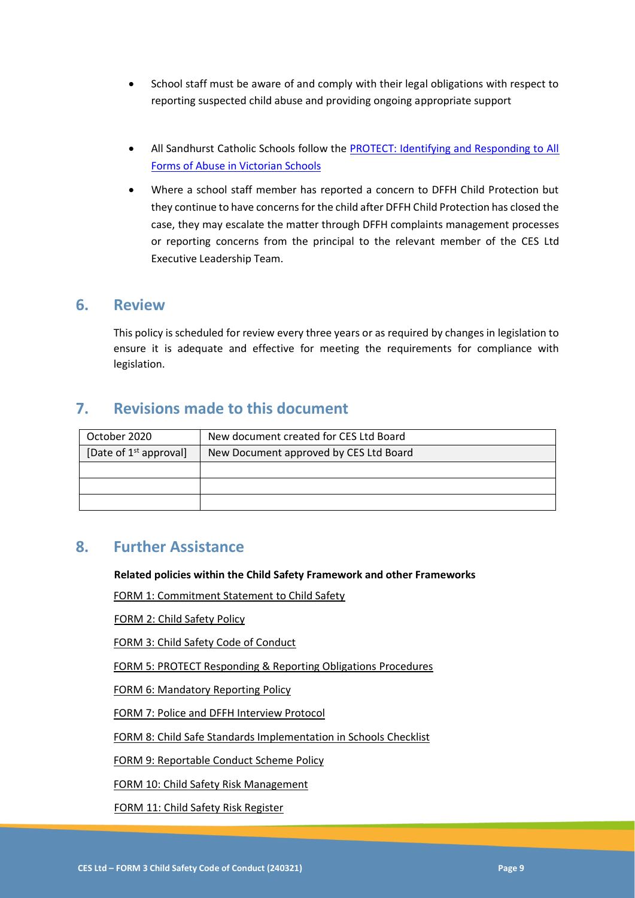- School staff must be aware of and comply with their legal obligations with respect to reporting suspected child abuse and providing ongoing appropriate support
- All Sandhurst Catholic Schools follow the PROTECT: Identifying and Responding to All [Forms of Abuse in Victorian Schools](https://www.education.vic.gov.au/Documents/about/programs/health/protect/ChildSafeStandard5_SchoolsGuide.pdf)
- Where a school staff member has reported a concern to DFFH Child Protection but they continue to have concerns for the child after DFFH Child Protection has closed the case, they may escalate the matter through DFFH complaints management processes or reporting concerns from the principal to the relevant member of the CES Ltd Executive Leadership Team.

### **6. Review**

This policy is scheduled for review every three years or as required by changes in legislation to ensure it is adequate and effective for meeting the requirements for compliance with legislation.

# **7. Revisions made to this document**

| October 2020             | New document created for CES Ltd Board |
|--------------------------|----------------------------------------|
| [Date of $1st$ approval] | New Document approved by CES Ltd Board |
|                          |                                        |
|                          |                                        |
|                          |                                        |

### **8. Further Assistance**

**Related policies within the Child Safety Framework and other Frameworks**

FORM 1: Commitment Statement to Child Safety

FORM 2: Child Safety Policy

FORM 3: Child Safety Code of Conduct

FORM 5: PROTECT Responding & Reporting Obligations Procedures

FORM 6: Mandatory Reporting Policy

FORM 7: Police and DFFH Interview Protocol

FORM 8: Child Safe Standards Implementation in Schools Checklist

FORM 9: Reportable Conduct Scheme Policy

FORM 10: Child Safety Risk Management

FORM 11: Child Safety Risk Register